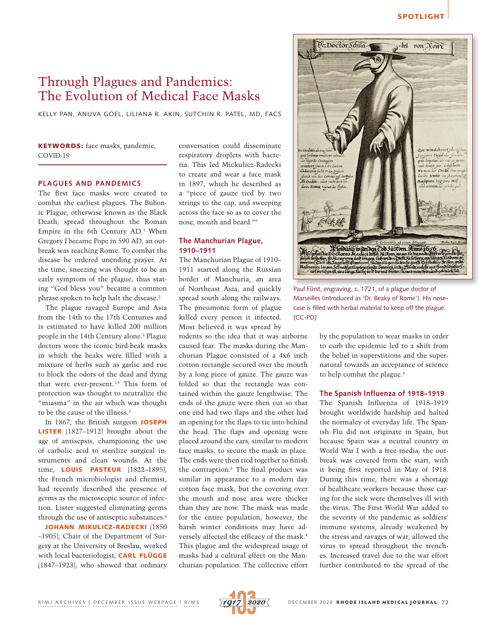## SPOTLIGHT

# Through Plagues and Pandemics: The Evolution of Medical Face Masks

KELLY PAN, ANUVA GOEL, LILIANA R. AKIN, SUTCHIN R. PATEL, MD, FACS

## KEYWORDS: face masks, pandemic, COVID-19

## **PLAGUES AND PANDEMICS**

The first face masks were created to combat the earliest plagues. The Bubonic Plague, otherwise known as the Black Death, spread throughout the Roman Empire in the 6th Century AD.<sup>1</sup> When Gregory I became Pope in 590 AD, an outbreak was reaching Rome. To combat the disease he ordered unending prayer. At the time, sneezing was thought to be an early symptom of the plague, thus stating "God bless you" became a common phrase spoken to help halt the disease.2

The plague ravaged Europe and Asia from the 14th to the 17th Centuries and is estimated to have killed 200 million people in the 14th Century alone.2 Plague doctors wore the iconic bird-beak masks in which the beaks were filled with a mixture of herbs such as garlic and rue to block the odors of the dead and dying that were ever-present.1,4 This form of protection was thought to neutralize the "miasma" in the air which was thought to be the cause of the illness.3

In 1867, the British surgeon JOSEPH LISTER (1827–1912) brought about the age of antisepsis, championing the use of carbolic acid to sterilize surgical instruments and clean wounds. At the time, **LOUIS PASTEUR** (1822-1895), the French microbiologist and chemist, had recently described the presence of germs as the microscopic source of infection. Lister suggested eliminating germs through the use of antiseptic substances.6

JOHANN MIKULICZ-RADECKI (1850 –1905), Chair of the Department of Surgery at the University of Breslau, worked with local bacteriologist, CARL FLÜGGE (1847–1923), who showed that ordinary

conversation could disseminate respiratory droplets with bacteria. This led Mickulicz-Radecki to create and wear a face mask in 1897, which he described as a "piece of gauze tied by two strings to the cap, and sweeping across the face so as to cover the nose, mouth and beard."6

### **The Manchurian Plague, 1910–1911**

The Manchurian Plague of 1910– 1911 started along the Russian border of Manchuria, an area of Northeast Asia, and quickly spread south along the railways. The pneumonic form of plague killed every person it infected. Most believed it was spread by

rodents so the idea that it was airborne caused fear. The masks during the Manchurian Plague consisted of a 4x6 inch cotton rectangle secured over the mouth by a long piece of gauze. The gauze was folded so that the rectangle was contained within the gauze lengthwise. The ends of the gauze were then cut so that one end had two flaps and the other had an opening for the flaps to tie into behind the head. The flaps and opening were placed around the ears, similar to modern face masks, to secure the mask in place. The ends were then tied together to finish the contraption.4 The final product was similar in appearance to a modern day cotton face mask, but the covering over the mouth and nose area were thicker than they are now. The mask was made for the entire population; however, the harsh winter conditions may have adversely affected the efficacy of the mask.4 This plague and the widespread usage of masks had a cultural effect on the Manchurian population. The collective effort



Paul Fürst, engraving, c. 1721, of a plague doctor of Marseilles (introduced as 'Dr. [Beaky](https://en.wikipedia.org/wiki/Beak) of [Rome](https://en.wikipedia.org/wiki/Rome)'). His nosecase is filled with herbal material to keep off the plague. [CC-PD]

by the population to wear masks in order to curb the epidemic led to a shift from the belief in superstitions and the supernatural towards an acceptance of science to help combat the plague.4

#### **The Spanish Influenza of 1918–1919**

The Spanish Influenza of 1918–1919 brought worldwide hardship and halted the normalcy of everyday life. The Spanish Flu did not originate in Spain, but because Spain was a neutral country in World War I with a free media; the outbreak was covered from the start, with it being first reported in May of 1918. During this time, there was a shortage of healthcare workers because those caring for the sick were themselves ill with the virus. The First World War added to the severity of the pandemic as soldiers' immune systems, already weakened by the stress and ravages of war, allowed the virus to spread throughout the trenches. Increased travel due to the war effort further contributed to the spread of the

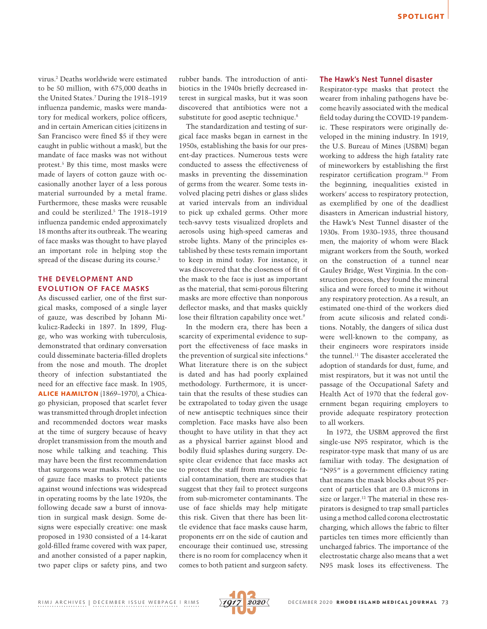virus.2 Deaths worldwide were estimated to be 50 million, with 675,000 deaths in the United States.7 During the 1918–1919 influenza pandemic, masks were mandatory for medical workers, police officers, and in certain American cities (citizens in San Francisco were fined \$5 if they were caught in public without a mask), but the mandate of face masks was not without protest.5 By this time, most masks were made of layers of cotton gauze with occasionally another layer of a less porous material surrounded by a metal frame. Furthermore, these masks were reusable and could be sterilized.5 The 1918–1919 influenza pandemic ended approximately 18 months after its outbreak. The wearing of face masks was thought to have played an important role in helping stop the spread of the disease during its course.<sup>2</sup>

# **THE DEVELOPMENT AND EVOLUTION OF FACE MASKS**

As discussed earlier, one of the first surgical masks, composed of a single layer of gauze, was described by Johann Mikulicz-Radecki in 1897. In 1899, Flugge, who was working with tuberculosis, demonstrated that ordinary conversation could disseminate bacteria-filled droplets from the nose and mouth. The droplet theory of infection substantiated the need for an effective face mask. In 1905, ALICE HAMILTON (1869–1970), a Chicago physician, proposed that scarlet fever was transmitted through droplet infection and recommended doctors wear masks at the time of surgery because of heavy droplet transmission from the mouth and nose while talking and teaching. This may have been the first recommendation that surgeons wear masks. While the use of gauze face masks to protect patients against wound infections was widespread in operating rooms by the late 1920s, the following decade saw a burst of innovation in surgical mask design. Some designs were especially creative: one mask proposed in 1930 consisted of a 14-karat gold-filled frame covered with wax paper, and another consisted of a paper napkin, two paper clips or safety pins, and two

rubber bands. The introduction of antibiotics in the 1940s briefly decreased interest in surgical masks, but it was soon discovered that antibiotics were not a substitute for good aseptic technique.<sup>8</sup>

The standardization and testing of surgical face masks began in earnest in the 1950s, establishing the basis for our present-day practices. Numerous tests were conducted to assess the effectiveness of masks in preventing the dissemination of germs from the wearer. Some tests involved placing petri dishes or glass slides at varied intervals from an individual to pick up exhaled germs. Other more tech-savvy tests visualized droplets and aerosols using high-speed cameras and strobe lights. Many of the principles established by these tests remain important to keep in mind today. For instance, it was discovered that the closeness of fit of the mask to the face is just as important as the material, that semi-porous filtering masks are more effective than nonporous deflector masks, and that masks quickly lose their filtration capability once wet.<sup>9</sup>

In the modern era, there has been a scarcity of experimental evidence to support the effectiveness of face masks in the prevention of surgical site infections.6 What literature there is on the subject is dated and has had poorly explained methodology. Furthermore, it is uncertain that the results of these studies can be extrapolated to today given the usage of new antiseptic techniques since their completion. Face masks have also been thought to have utility in that they act as a physical barrier against blood and bodily fluid splashes during surgery. Despite clear evidence that face masks act to protect the staff from macroscopic facial contamination, there are studies that suggest that they fail to protect surgeons from sub-micrometer contaminants. The use of face shields may help mitigate this risk. Given that there has been little evidence that face masks cause harm, proponents err on the side of caution and encourage their continued use, stressing there is no room for complacency when it comes to both patient and surgeon safety.

#### **The Hawk's Nest Tunnel disaster**

Respirator-type masks that protect the wearer from inhaling pathogens have become heavily associated with the medical field today during the COVID-19 pandemic. These respirators were originally developed in the mining industry. In 1919, the U.S. Bureau of Mines (USBM) began working to address the high fatality rate of mineworkers by establishing the first respirator certification program.10 From the beginning, inequalities existed in workers' access to respiratory protection, as exemplified by one of the deadliest disasters in American industrial history, the Hawk's Nest Tunnel disaster of the 1930s. From 1930–1935, three thousand men, the majority of whom were Black migrant workers from the South, worked on the construction of a tunnel near Gauley Bridge, West Virginia. In the construction process, they found the mineral silica and were forced to mine it without any respiratory protection. As a result, an estimated one-third of the workers died from acute silicosis and related conditions. Notably, the dangers of silica dust were well-known to the company, as their engineers wore respirators inside the tunnel.<sup>11</sup> The disaster accelerated the adoption of standards for dust, fume, and mist respirators, but it was not until the passage of the Occupational Safety and Health Act of 1970 that the federal government began requiring employers to provide adequate respiratory protection to all workers.

In 1972, the USBM approved the first single-use N95 respirator, which is the respirator-type mask that many of us are familiar with today. The designation of "N95" is a government efficiency rating that means the mask blocks about 95 percent of particles that are 0.3 microns in size or larger.<sup>12</sup> The material in these respirators is designed to trap small particles using a method called corona electrostatic charging, which allows the fabric to filter particles ten times more efficiently than uncharged fabrics. The importance of the electrostatic charge also means that a wet N95 mask loses its effectiveness. The

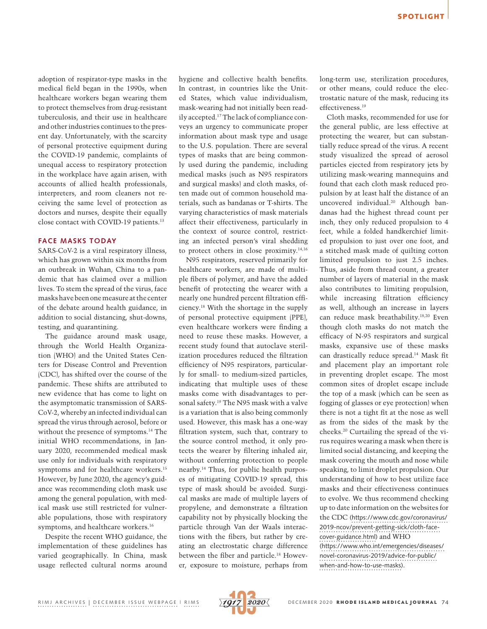adoption of respirator-type masks in the medical field began in the 1990s, when healthcare workers began wearing them to protect themselves from drug-resistant tuberculosis, and their use in healthcare and other industries continues to the present day. Unfortunately, with the scarcity of personal protective equipment during the COVID-19 pandemic, complaints of unequal access to respiratory protection in the workplace have again arisen, with accounts of allied health professionals, interpreters, and room cleaners not receiving the same level of protection as doctors and nurses, despite their equally close contact with COVID-19 patients.<sup>13</sup>

#### **FACE MASKS TODAY**

SARS-CoV-2 is a viral respiratory illness, which has grown within six months from an outbreak in Wuhan, China to a pandemic that has claimed over a million lives. To stem the spread of the virus, face masks have been one measure at the center of the debate around health guidance, in addition to social distancing, shut-downs, testing, and quarantining.

The guidance around mask usage, through the World Health Organization (WHO) and the United States Centers for Disease Control and Prevention (CDC), has shifted over the course of the pandemic. These shifts are attributed to new evidence that has come to light on the asymptomatic transmission of SARS-CoV-2, whereby an infected individual can spread the virus through aerosol, before or without the presence of symptoms.14 The initial WHO recommendations, in January 2020, recommended medical mask use only for individuals with respiratory symptoms and for healthcare workers.<sup>15</sup> However, by June 2020, the agency's guidance was recommending cloth mask use among the general population, with medical mask use still restricted for vulnerable populations, those with respiratory symptoms, and healthcare workers.<sup>16</sup>

Despite the recent WHO guidance, the implementation of these guidelines has varied geographically. In China, mask usage reflected cultural norms around hygiene and collective health benefits. In contrast, in countries like the United States, which value individualism, mask-wearing had not initially been readily accepted.17 The lack of compliance conveys an urgency to communicate proper information about mask type and usage to the U.S. population. There are several types of masks that are being commonly used during the pandemic, including medical masks (such as N95 respirators and surgical masks) and cloth masks, often made out of common household materials, such as bandanas or T-shirts. The varying characteristics of mask materials affect their effectiveness, particularly in the context of source control, restricting an infected person's viral shedding to protect others in close proximity.14,16

N95 respirators, reserved primarily for healthcare workers, are made of multiple fibers of polymer, and have the added benefit of protecting the wearer with a nearly one hundred percent filtration efficiency.18 With the shortage in the supply of personal protective equipment (PPE), even healthcare workers were finding a need to reuse these masks. However, a recent study found that autoclave sterilization procedures reduced the filtration efficiency of N95 respirators, particularly for small- to medium-sized particles, indicating that multiple uses of these masks come with disadvantages to personal safety.19 The N95 mask with a valve is a variation that is also being commonly used. However, this mask has a one-way filtration system, such that, contrary to the source control method, it only protects the wearer by filtering inhaled air, without conferring protection to people nearby.14 Thus, for public health purposes of mitigating COVID-19 spread, this type of mask should be avoided. Surgical masks are made of multiple layers of propylene, and demonstrate a filtration capability not by physically blocking the particle through Van der Waals interactions with the fibers, but rather by creating an electrostatic charge difference between the fiber and particle.18 However, exposure to moisture, perhaps from long-term use, sterilization procedures, or other means, could reduce the electrostatic nature of the mask, reducing its effectiveness.19

Cloth masks, recommended for use for the general public, are less effective at protecting the wearer, but can substantially reduce spread of the virus. A recent study visualized the spread of aerosol particles ejected from respiratory jets by utilizing mask-wearing mannequins and found that each cloth mask reduced propulsion by at least half the distance of an uncovered individual.20 Although bandanas had the highest thread count per inch, they only reduced propulsion to 4 feet, while a folded handkerchief limited propulsion to just over one foot, and a stitched mask made of quilting cotton limited propulsion to just 2.5 inches. Thus, aside from thread count, a greater number of layers of material in the mask also contributes to limiting propulsion, while increasing filtration efficiency as well, although an increase in layers can reduce mask breathability.18,20 Even though cloth masks do not match the efficacy of N-95 respirators and surgical masks, expansive use of these masks can drastically reduce spread.14 Mask fit and placement play an important role in preventing droplet escape. The most common sites of droplet escape include the top of a mask (which can be seen as fogging of glasses or eye protection) when there is not a tight fit at the nose as well as from the sides of the mask by the cheeks.20 Curtailing the spread of the virus requires wearing a mask when there is limited social distancing, and keeping the mask covering the mouth and nose while speaking, to limit droplet propulsion. Our understanding of how to best utilize face masks and their effectiveness continues to evolve. We thus recommend checking up to date information on the websites for the CDC [\(https://www.cdc.gov/coronavirus/](https://www.cdc.gov/coronavirus/2019-ncov/prevent-getting-sick/cloth-face-cover-guidance.html) [2019-ncov/prevent-getting-sick/cloth-face](https://www.cdc.gov/coronavirus/2019-ncov/prevent-getting-sick/cloth-face-cover-guidance.html)[cover-guidance.html](https://www.cdc.gov/coronavirus/2019-ncov/prevent-getting-sick/cloth-face-cover-guidance.html)) and WHO ([https://www.who.int/emergencies/diseases/](https://www.who.int/emergencies/diseases/novel-coronavirus-2019/advice-for-public/when-and-how-to-use-masks?gclid=Cj0KCQjw0YD4BRD2ARIsAHwmKVmoF9un4TY32DPfDOdCOvLK7-qGXAQQ1Rel9CCJR6ffT9RYEukaUhMaApUBEALw_wcB) [novel-coronavirus-2019/advice-for-public/](https://www.who.int/emergencies/diseases/novel-coronavirus-2019/advice-for-public/when-and-how-to-use-masks?gclid=Cj0KCQjw0YD4BRD2ARIsAHwmKVmoF9un4TY32DPfDOdCOvLK7-qGXAQQ1Rel9CCJR6ffT9RYEukaUhMaApUBEALw_wcB) [when-and-how-to-use-masks](https://www.who.int/emergencies/diseases/novel-coronavirus-2019/advice-for-public/when-and-how-to-use-masks?gclid=Cj0KCQjw0YD4BRD2ARIsAHwmKVmoF9un4TY32DPfDOdCOvLK7-qGXAQQ1Rel9CCJR6ffT9RYEukaUhMaApUBEALw_wcB)).